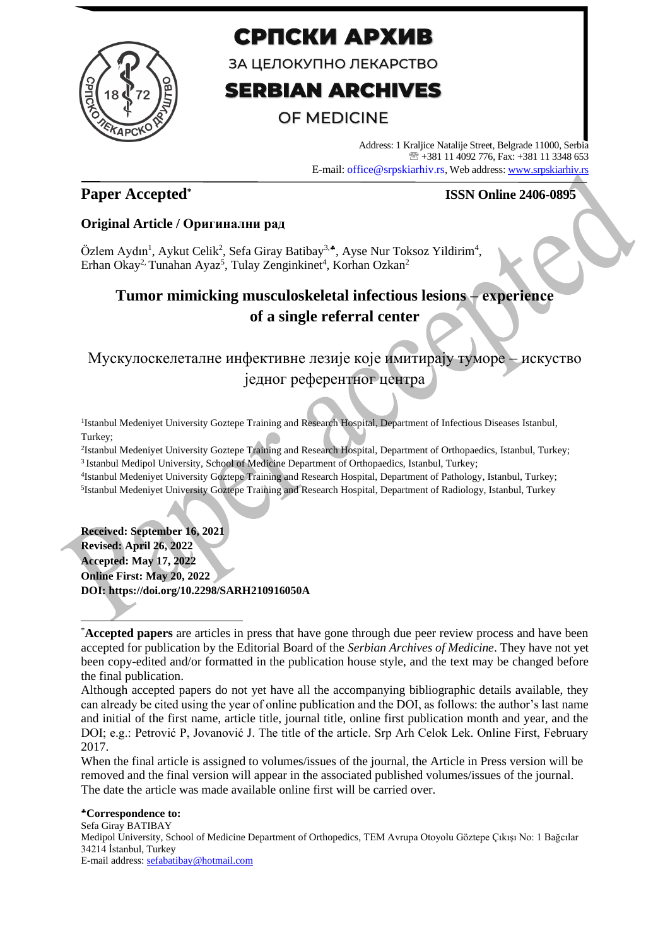

# СРПСКИ АРХИВ

ЗА ЦЕЛОКУПНО ЛЕКАРСТВО

# **SERBIAN ARCHIVES**

## **OF MEDICINE**

Address: 1 Kraljice Natalije Street, Belgrade 11000, Serbia +381 11 4092 776, Fax: +381 11 3348 653 E-mail: office@srpskiarhiv.rs, Web address[: www.srpskiarhiv.rs](http://www.srpskiarhiv.rs/)

## **Paper Accepted\***

### **ISSN Online 2406-0895**

### **Original Article / Оригинални рад**

Özlem Aydın<sup>1</sup>, Aykut Celik<sup>2</sup>, Sefa Giray Batibay<sup>3,•</sup>, Ayse Nur Toksoz Yildirim<sup>4</sup>, Erhan Okay<sup>2,</sup> Tunahan Ayaz<sup>5</sup>, Tulay Zenginkinet<sup>4</sup>, Korhan Ozkan<sup>2</sup>

# **Tumor mimicking musculoskeletal infectious lesions – еxperience of a single referral center**

Мускулоскелеталне инфективне лезије које имитирају туморе – искуство једног референтног центра

<sup>1</sup>Istanbul Medeniyet University Goztepe Training and Research Hospital, Department of Infectious Diseases Istanbul, Turkey;

2 Istanbul Medeniyet University Goztepe Training and Research Hospital, Department of Orthopaedics, Istanbul, Turkey; <sup>3</sup> Istanbul Medipol University, School of Medicine Department of Orthopaedics, Istanbul, Turkey;

4 Istanbul Medeniyet University Goztepe Training and Research Hospital, Department of Pathology, Istanbul, Turkey; <sup>5</sup>Istanbul Medeniyet University Goztepe Training and Research Hospital, Department of Radiology, Istanbul, Turkey

**Received: September 16, 2021 Revised: April 26, 2022 Accepted: May 17, 2022 Online First: May 20, 2022 DOI: https://doi.org/10.2298/SARH210916050A**

When the final article is assigned to volumes/issues of the journal, the Article in Press version will be removed and the final version will appear in the associated published volumes/issues of the journal. The date the article was made available online first will be carried over.

#### **Correspondence to:**

Sefa Giray BATIBAY Medipol University, School of Medicine Department of Orthopedics, TEM Avrupa Otoyolu Göztepe Çıkışı No: 1 Bağcılar 34214 İstanbul, Turkey E-mail address[: sefabatibay@hotmail.com](mailto:sefabatibay@hotmail.com)

<sup>\*</sup>**Accepted papers** are articles in press that have gone through due peer review process and have been accepted for publication by the Editorial Board of the *Serbian Archives of Medicine*. They have not yet been copy-edited and/or formatted in the publication house style, and the text may be changed before the final publication.

Although accepted papers do not yet have all the accompanying bibliographic details available, they can already be cited using the year of online publication and the DOI, as follows: the author's last name and initial of the first name, article title, journal title, online first publication month and year, and the DOI; e.g.: Petrović P, Jovanović J. The title of the article. Srp Arh Celok Lek. Online First, February 2017.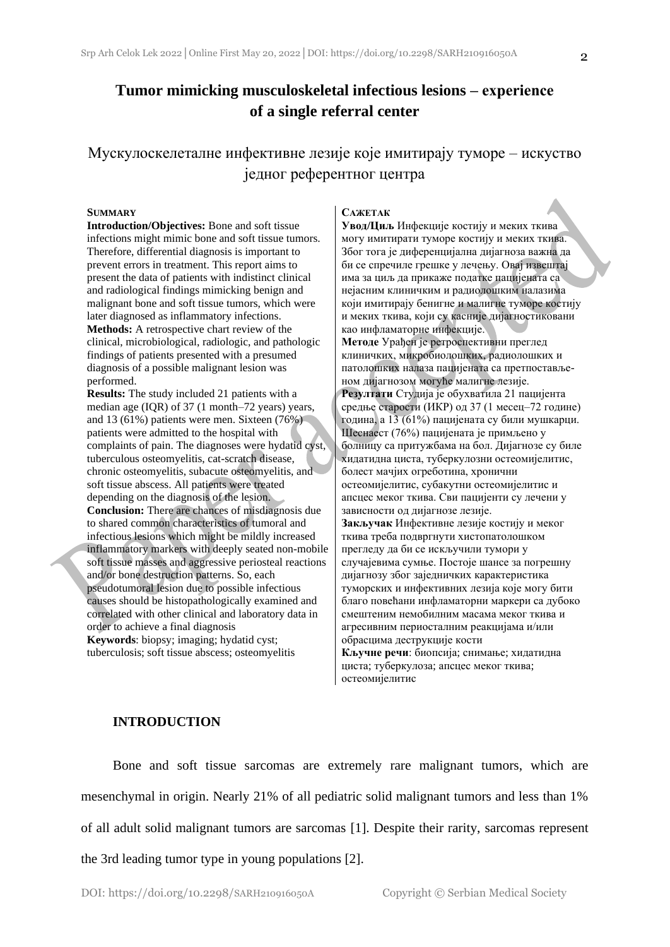## **Tumor mimicking musculoskeletal infectious lesions – еxperience of a single referral center**

Мускулоскелеталне инфективне лезије које имитирају туморе – искуство једног референтног центра

#### **SUMMARY**

**Introduction/Objectives:** Bone and soft tissue infections might mimic bone and soft tissue tumors. Therefore, differential diagnosis is important to prevent errors in treatment. This report aims to present the data of patients with indistinct clinical and radiological findings mimicking benign and malignant bone and soft tissue tumors, which were later diagnosed as inflammatory infections. **Methods:** A retrospective chart review of the clinical, microbiological, radiologic, and pathologic findings of patients presented with a presumed diagnosis of a possible malignant lesion was performed.

**Results:** The study included 21 patients with a median age (IQR) of 37 (1 month–72 years) years, and 13 (61%) patients were men. Sixteen (76%) patients were admitted to the hospital with complaints of pain. The diagnoses were hydatid cyst, tuberculous osteomyelitis, cat-scratch disease, chronic osteomyelitis, subacute osteomyelitis, and soft tissue abscess. All patients were treated depending on the diagnosis of the lesion. **Conclusion:** There are chances of misdiagnosis due to shared common characteristics of tumoral and infectious lesions which might be mildly increased inflammatory markers with deeply seated non-mobile soft tissue masses and aggressive periosteal reactions and/or bone destruction patterns. So, each pseudotumoral lesion due to possible infectious causes should be histopathologically examined and correlated with other clinical and laboratory data in order to achieve a final diagnosis **Keywords**: biopsy; imaging; hydatid cyst; tuberculosis; soft tissue abscess; osteomyelitis

#### **САЖЕТАК**

**Увод/Циљ** Инфекције костију и меких ткива могу имитирати туморе костију и меких ткива. Због тога је диференцијална дијагноза важна да би се спречиле грешке у лечењу. Овај извештај има за циљ да прикаже податке пацијената са нејасним клиничким и радиолошким налазима који имитирају бенигне и малигне туморе костију и меких ткива, који су касније дијагностиковани као инфламаторне инфекције. **Методе** Урађен је ретроспективни преглед клиничких, микробиолошких, радиолошких и патолошких налаза пацијената са претпостављеном дијагнозом могуће малигне лезије. **Резултати** Студија је обухватила 21 пацијента средње старости (ИКР) од 37 (1 месец–72 године) година, а 13 (61%) пацијената су били мушкарци. Шеснаест (76%) пацијената је примљено у болницу са притужбама на бол. Дијагнозе су биле хидатидна циста, туберкулозни остеомијелитис, болест мачјих огреботина, хронични остеомијелитис, субакутни остеомијелитис и апсцес меког ткива. Сви пацијенти су лечени у зависности од дијагнозе лезије. **Закључак** Инфективне лезије костију и меког ткива треба подвргнути хистопатолошком прегледу да би се искључили тумори у случајевима сумње. Постоје шансе за погрешну дијагнозу због заједничких карактеристика туморских и инфективних лезија које могу бити благо повећани инфламаторни маркери са дубоко смештеним немобилним масама меког ткива и агресивним периосталним реакцијама и/или обрасцима деструкције кости **Кључне речи**: биопсија; снимање; хидатидна циста; туберкулоза; апсцес меког ткива; остеомијелитис

#### **INTRODUCTION**

Bone and soft tissue sarcomas are extremely rare malignant tumors, which are mesenchymal in origin. Nearly 21% of all pediatric solid malignant tumors and less than 1% of all adult solid malignant tumors are sarcomas [1]. Despite their rarity, sarcomas represent the 3rd leading tumor type in young populations [2].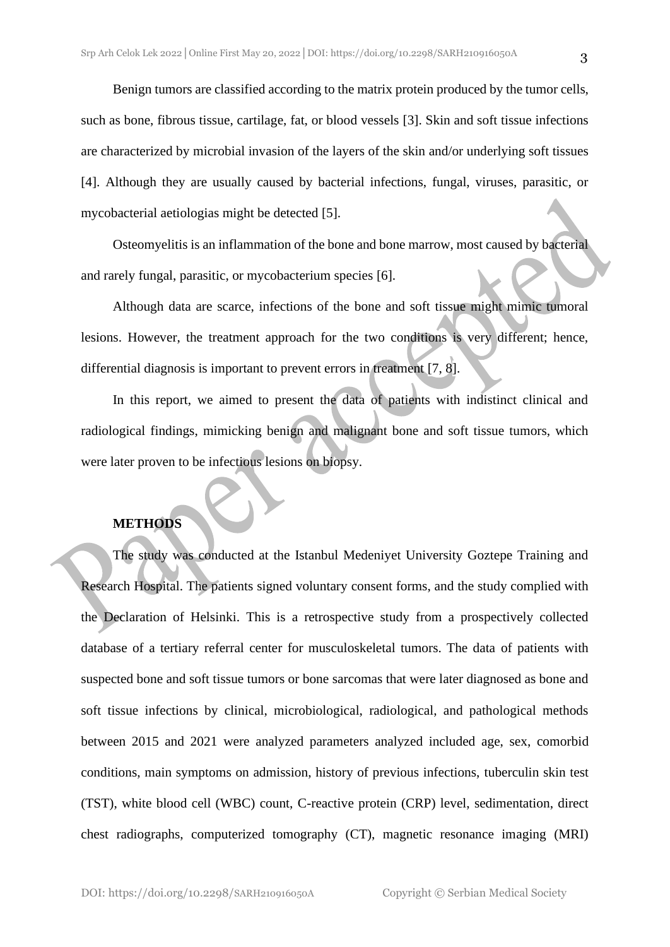Benign tumors are classified according to the matrix protein produced by the tumor cells, such as bone, fibrous tissue, cartilage, fat, or blood vessels [3]. Skin and soft tissue infections are characterized by microbial invasion of the layers of the skin and/or underlying soft tissues [4]. Although they are usually caused by bacterial infections, fungal, viruses, parasitic, or mycobacterial aetiologias might be detected [5].

Osteomyelitis is an inflammation of the bone and bone marrow, most caused by bacterial and rarely fungal, parasitic, or mycobacterium species [6].

Although data are scarce, infections of the bone and soft tissue might mimic tumoral lesions. However, the treatment approach for the two conditions is very different; hence, differential diagnosis is important to prevent errors in treatment [7, 8].

In this report, we aimed to present the data of patients with indistinct clinical and radiological findings, mimicking benign and malignant bone and soft tissue tumors, which were later proven to be infectious lesions on biopsy.

#### **METHODS**

The study was conducted at the Istanbul Medeniyet University Goztepe Training and Research Hospital. The patients signed voluntary consent forms, and the study complied with the Declaration of Helsinki. This is a retrospective study from a prospectively collected database of a tertiary referral center for musculoskeletal tumors. The data of patients with suspected bone and soft tissue tumors or bone sarcomas that were later diagnosed as bone and soft tissue infections by clinical, microbiological, radiological, and pathological methods between 2015 and 2021 were analyzed parameters analyzed included age, sex, comorbid conditions, main symptoms on admission, history of previous infections, tuberculin skin test (TST), white blood cell (WBC) count, C-reactive protein (CRP) level, sedimentation, direct chest radiographs, computerized tomography (CT), magnetic resonance imaging (MRI)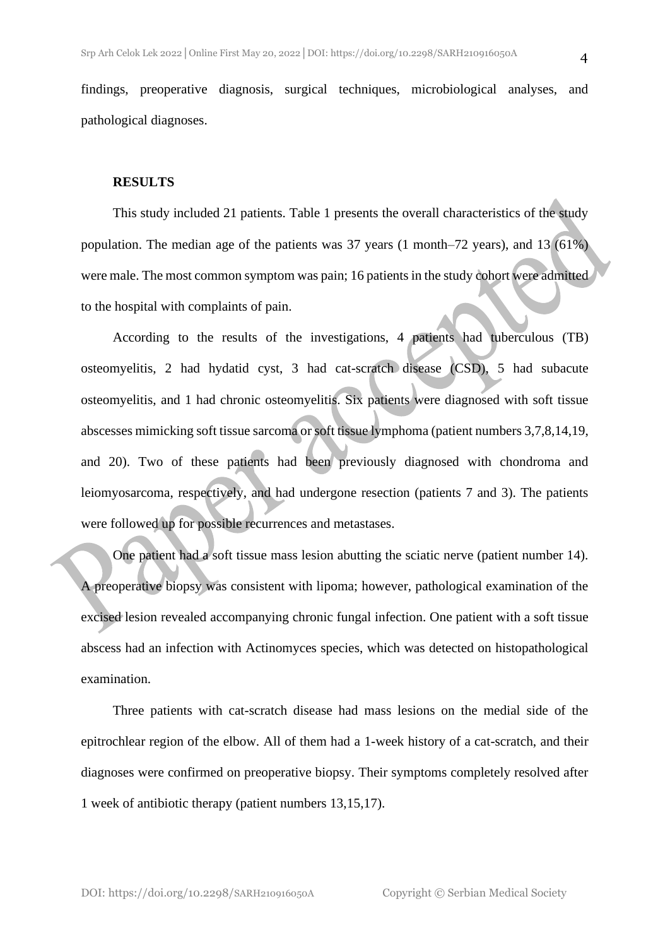findings, preoperative diagnosis, surgical techniques, microbiological analyses, and pathological diagnoses.

#### **RESULTS**

This study included 21 patients. Table 1 presents the overall characteristics of the study population. The median age of the patients was 37 years (1 month–72 years), and 13 (61%) were male. The most common symptom was pain; 16 patients in the study cohort were admitted to the hospital with complaints of pain.

According to the results of the investigations, 4 patients had tuberculous (TB) osteomyelitis, 2 had hydatid cyst, 3 had cat-scratch disease (CSD), 5 had subacute osteomyelitis, and 1 had chronic osteomyelitis. Six patients were diagnosed with soft tissue abscesses mimicking soft tissue sarcoma or soft tissue lymphoma (patient numbers 3,7,8,14,19, and 20). Two of these patients had been previously diagnosed with chondroma and leiomyosarcoma, respectively, and had undergone resection (patients 7 and 3). The patients were followed up for possible recurrences and metastases.

One patient had a soft tissue mass lesion abutting the sciatic nerve (patient number 14). A preoperative biopsy was consistent with lipoma; however, pathological examination of the excised lesion revealed accompanying chronic fungal infection. One patient with a soft tissue abscess had an infection with Actinomyces species, which was detected on histopathological examination.

Three patients with cat-scratch disease had mass lesions on the medial side of the epitrochlear region of the elbow. All of them had a 1-week history of a cat-scratch, and their diagnoses were confirmed on preoperative biopsy. Their symptoms completely resolved after 1 week of antibiotic therapy (patient numbers 13,15,17).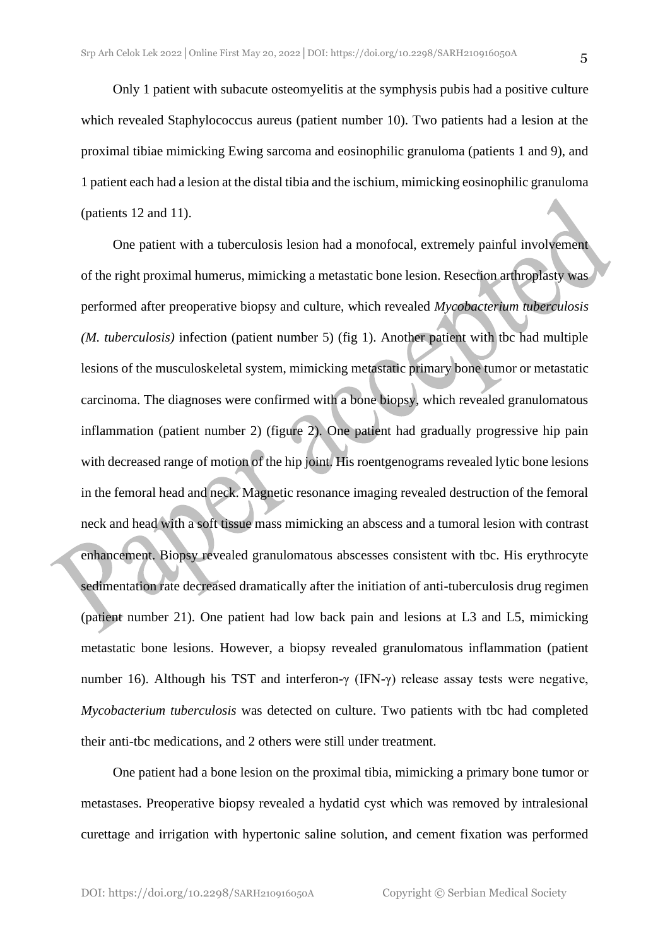Only 1 patient with subacute osteomyelitis at the symphysis pubis had a positive culture which revealed Staphylococcus aureus (patient number 10). Two patients had a lesion at the proximal tibiae mimicking Ewing sarcoma and eosinophilic granuloma (patients 1 and 9), and 1 patient each had a lesion at the distal tibia and the ischium, mimicking eosinophilic granuloma (patients 12 and 11).

One patient with a tuberculosis lesion had a monofocal, extremely painful involvement of the right proximal humerus, mimicking a metastatic bone lesion. Resection arthroplasty was performed after preoperative biopsy and culture, which revealed *Mycobacterium tuberculosis (M. tuberculosis)* infection (patient number 5) (fig 1). Another patient with tbc had multiple lesions of the musculoskeletal system, mimicking metastatic primary bone tumor or metastatic carcinoma. The diagnoses were confirmed with a bone biopsy, which revealed granulomatous inflammation (patient number 2) (figure 2). One patient had gradually progressive hip pain with decreased range of motion of the hip joint. His roentgenograms revealed lytic bone lesions in the femoral head and neck. Magnetic resonance imaging revealed destruction of the femoral neck and head with a soft tissue mass mimicking an abscess and a tumoral lesion with contrast enhancement. Biopsy revealed granulomatous abscesses consistent with tbc. His erythrocyte sedimentation rate decreased dramatically after the initiation of anti-tuberculosis drug regimen (patient number 21). One patient had low back pain and lesions at L3 and L5, mimicking metastatic bone lesions. However, a biopsy revealed granulomatous inflammation (patient number 16). Although his TST and interferon-γ (IFN-γ) release assay tests were negative, *Mycobacterium tuberculosis* was detected on culture. Two patients with tbc had completed their anti-tbc medications, and 2 others were still under treatment.

One patient had a bone lesion on the proximal tibia, mimicking a primary bone tumor or metastases. Preoperative biopsy revealed a hydatid cyst which was removed by intralesional curettage and irrigation with hypertonic saline solution, and cement fixation was performed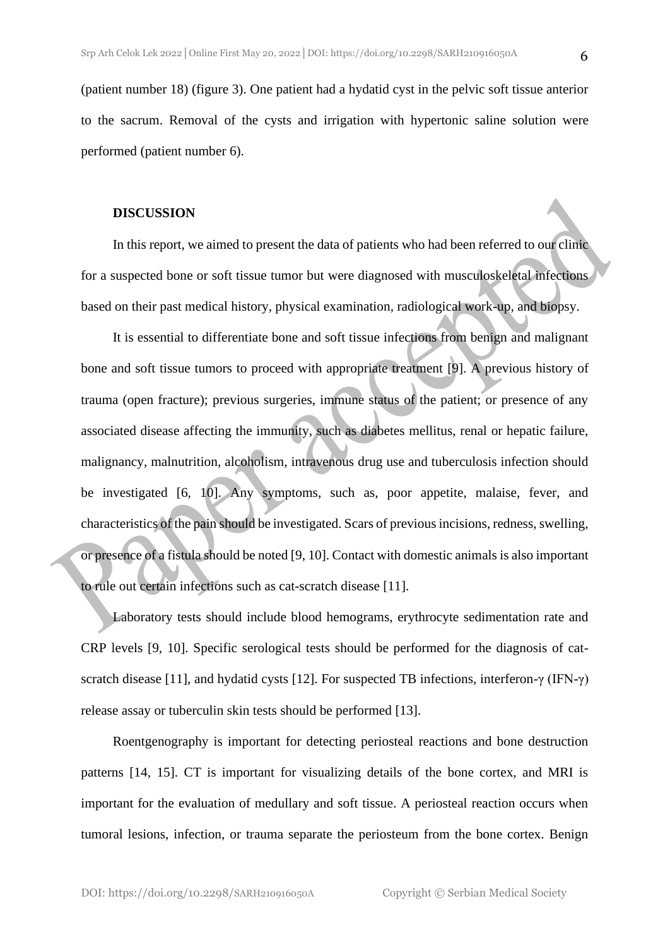(patient number 18) (figure 3). One patient had a hydatid cyst in the pelvic soft tissue anterior to the sacrum. Removal of the cysts and irrigation with hypertonic saline solution were performed (patient number 6).

#### **DISCUSSION**

In this report, we aimed to present the data of patients who had been referred to our clinic for a suspected bone or soft tissue tumor but were diagnosed with musculoskeletal infections based on their past medical history, physical examination, radiological work-up, and biopsy.

It is essential to differentiate bone and soft tissue infections from benign and malignant bone and soft tissue tumors to proceed with appropriate treatment [9]. A previous history of trauma (open fracture); previous surgeries, immune status of the patient; or presence of any associated disease affecting the immunity, such as diabetes mellitus, renal or hepatic failure, malignancy, malnutrition, alcoholism, intravenous drug use and tuberculosis infection should be investigated [6, 10]. Any symptoms, such as, poor appetite, malaise, fever, and characteristics of the pain should be investigated. Scars of previous incisions, redness, swelling, or presence of a fistula should be noted [9, 10]. Contact with domestic animals is also important to rule out certain infections such as cat-scratch disease [11].

Laboratory tests should include blood hemograms, erythrocyte sedimentation rate and CRP levels [9, 10]. Specific serological tests should be performed for the diagnosis of catscratch disease [11], and hydatid cysts [12]. For suspected TB infections, interferon-γ (IFN-γ) release assay or tuberculin skin tests should be performed [13].

Roentgenography is important for detecting periosteal reactions and bone destruction patterns [14, 15]. CT is important for visualizing details of the bone cortex, and MRI is important for the evaluation of medullary and soft tissue. A periosteal reaction occurs when tumoral lesions, infection, or trauma separate the periosteum from the bone cortex. Benign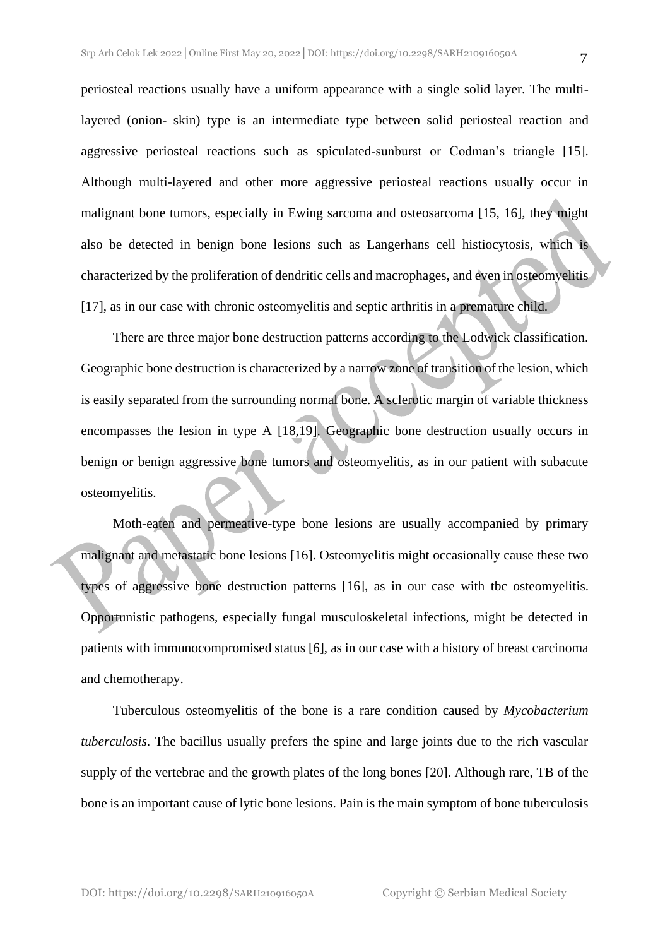periosteal reactions usually have a uniform appearance with a single solid layer. The multilayered (onion- skin) type is an intermediate type between solid periosteal reaction and aggressive periosteal reactions such as spiculated-sunburst or Codman's triangle [15]. Although multi-layered and other more aggressive periosteal reactions usually occur in malignant bone tumors, especially in Ewing sarcoma and osteosarcoma [15, 16], they might also be detected in benign bone lesions such as Langerhans cell histiocytosis, which is characterized by the proliferation of dendritic cells and macrophages, and even in osteomyelitis [17], as in our case with chronic osteomyelitis and septic arthritis in a premature child.

There are three major bone destruction patterns according to the Lodwick classification. Geographic bone destruction is characterized by a narrow zone of transition of the lesion, which is easily separated from the surrounding normal bone. A sclerotic margin of variable thickness encompasses the lesion in type A [18,19]. Geographic bone destruction usually occurs in benign or benign aggressive bone tumors and osteomyelitis, as in our patient with subacute osteomyelitis.

Moth-eaten and permeative-type bone lesions are usually accompanied by primary malignant and metastatic bone lesions [16]. Osteomyelitis might occasionally cause these two types of aggressive bone destruction patterns [16], as in our case with tbc osteomyelitis. Opportunistic pathogens, especially fungal musculoskeletal infections, might be detected in patients with immunocompromised status [6], as in our case with a history of breast carcinoma and chemotherapy.

Tuberculous osteomyelitis of the bone is a rare condition caused by *Mycobacterium tuberculosis*. The bacillus usually prefers the spine and large joints due to the rich vascular supply of the vertebrae and the growth plates of the long bones [20]. Although rare, TB of the bone is an important cause of lytic bone lesions. Pain is the main symptom of bone tuberculosis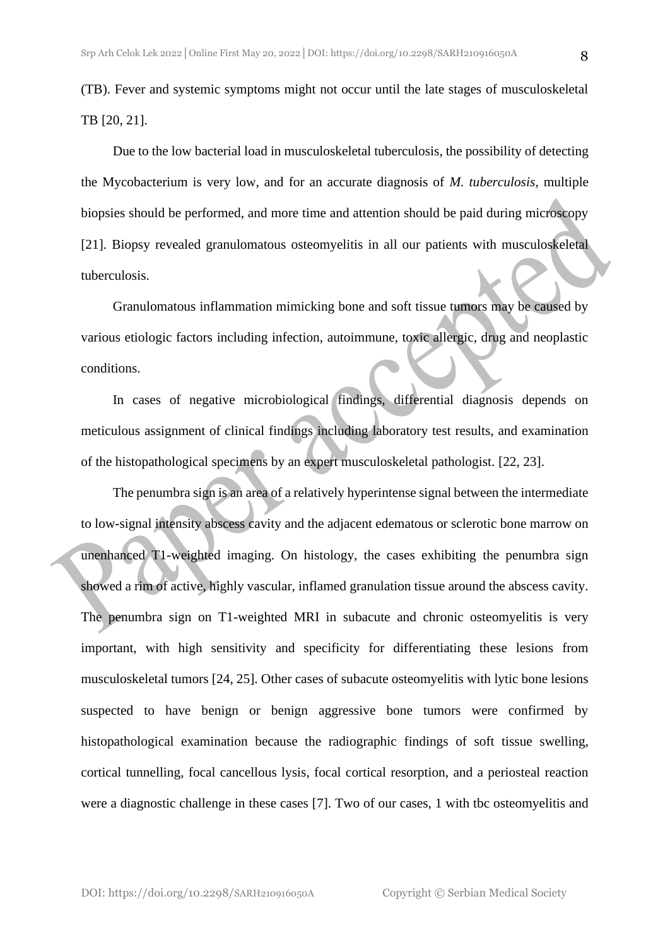(TB). Fever and systemic symptoms might not occur until the late stages of musculoskeletal TB [20, 21].

Due to the low bacterial load in musculoskeletal tuberculosis, the possibility of detecting the Mycobacterium is very low, and for an accurate diagnosis of *M. tuberculosis*, multiple biopsies should be performed, and more time and attention should be paid during microscopy [21]. Biopsy revealed granulomatous osteomyelitis in all our patients with musculoskeletal tuberculosis.

Granulomatous inflammation mimicking bone and soft tissue tumors may be caused by various etiologic factors including infection, autoimmune, toxic allergic, drug and neoplastic conditions.

In cases of negative microbiological findings, differential diagnosis depends on meticulous assignment of clinical findings including laboratory test results, and examination of the histopathological specimens by an expert musculoskeletal pathologist. [22, 23].

The penumbra sign is an area of a relatively hyperintense signal between the intermediate to low-signal intensity abscess cavity and the adjacent edematous or sclerotic bone marrow on unenhanced T1-weighted imaging. On histology, the cases exhibiting the penumbra sign showed a rim of active, highly vascular, inflamed granulation tissue around the abscess cavity. The penumbra sign on T1-weighted MRI in subacute and chronic osteomyelitis is very important, with high sensitivity and specificity for differentiating these lesions from musculoskeletal tumors [24, 25]. Other cases of subacute osteomyelitis with lytic bone lesions suspected to have benign or benign aggressive bone tumors were confirmed by histopathological examination because the radiographic findings of soft tissue swelling, cortical tunnelling, focal cancellous lysis, focal cortical resorption, and a periosteal reaction were a diagnostic challenge in these cases [7]. Two of our cases, 1 with tbc osteomyelitis and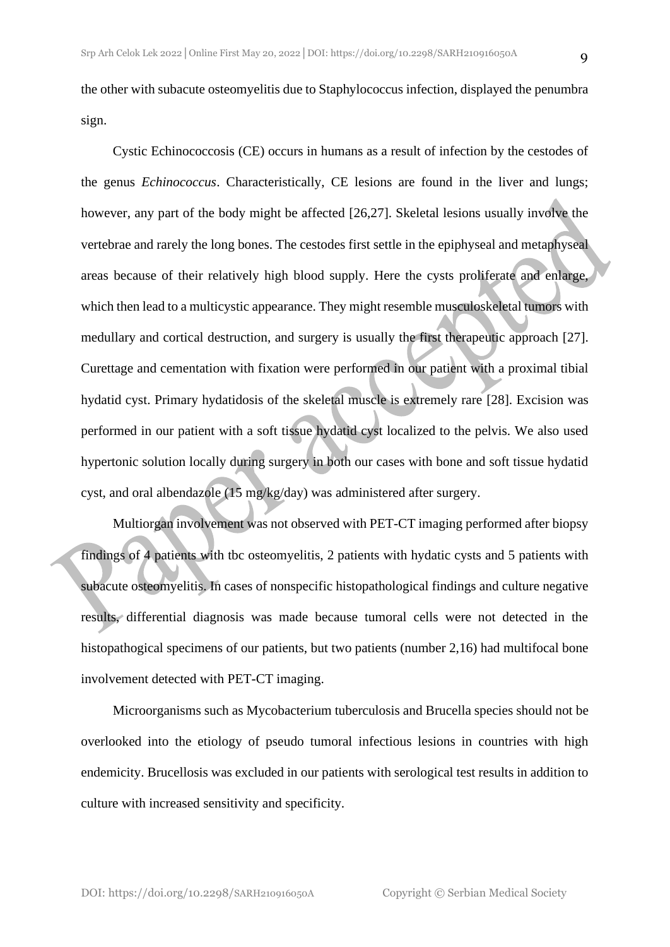the other with subacute osteomyelitis due to Staphylococcus infection, displayed the penumbra sign.

Cystic Echinococcosis (CE) occurs in humans as a result of infection by the cestodes of the genus *Echinococcus*. Characteristically, CE lesions are found in the liver and lungs; however, any part of the body might be affected [26,27]. Skeletal lesions usually involve the vertebrae and rarely the long bones. The cestodes first settle in the epiphyseal and metaphyseal areas because of their relatively high blood supply. Here the cysts proliferate and enlarge, which then lead to a multicystic appearance. They might resemble musculoskeletal tumors with medullary and cortical destruction, and surgery is usually the first therapeutic approach [27]. Curettage and cementation with fixation were performed in our patient with a proximal tibial hydatid cyst. Primary hydatidosis of the skeletal muscle is extremely rare [28]. Excision was performed in our patient with a soft tissue hydatid cyst localized to the pelvis. We also used hypertonic solution locally during surgery in both our cases with bone and soft tissue hydatid cyst, and oral albendazole (15 mg/kg/day) was administered after surgery.

Multiorgan involvement was not observed with PET-CT imaging performed after biopsy findings of 4 patients with tbc osteomyelitis, 2 patients with hydatic cysts and 5 patients with subacute osteomyelitis. In cases of nonspecific histopathological findings and culture negative results, differential diagnosis was made because tumoral cells were not detected in the histopathogical specimens of our patients, but two patients (number 2,16) had multifocal bone involvement detected with PET-CT imaging.

Microorganisms such as Mycobacterium tuberculosis and Brucella species should not be overlooked into the etiology of pseudo tumoral infectious lesions in countries with high endemicity. Brucellosis was excluded in our patients with serological test results in addition to culture with increased sensitivity and specificity.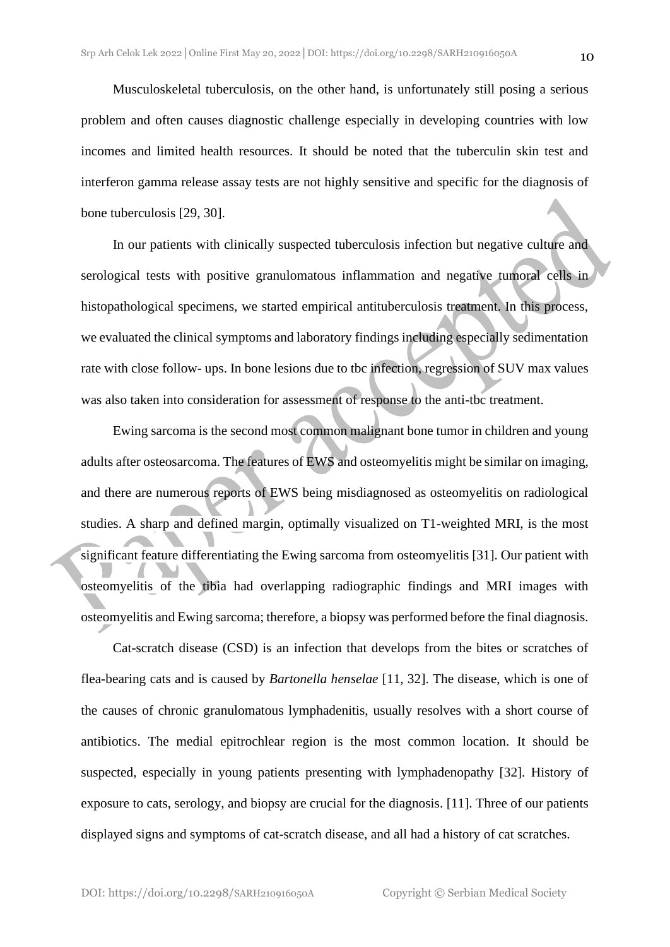Musculoskeletal tuberculosis, on the other hand, is unfortunately still posing a serious problem and often causes diagnostic challenge especially in developing countries with low incomes and limited health resources. It should be noted that the tuberculin skin test and interferon gamma release assay tests are not highly sensitive and specific for the diagnosis of bone tuberculosis [29, 30].

In our patients with clinically suspected tuberculosis infection but negative culture and serological tests with positive granulomatous inflammation and negative tumoral cells in histopathological specimens, we started empirical antituberculosis treatment. In this process, we evaluated the clinical symptoms and laboratory findings including especially sedimentation rate with close follow- ups. In bone lesions due to tbc infection, regression of SUV max values was also taken into consideration for assessment of response to the anti-tbc treatment.

Ewing sarcoma is the second most common malignant bone tumor in children and young adults after osteosarcoma. The features of EWS and osteomyelitis might be similar on imaging, and there are numerous reports of EWS being misdiagnosed as osteomyelitis on radiological studies. A sharp and defined margin, optimally visualized on T1-weighted MRI, is the most significant feature differentiating the Ewing sarcoma from osteomyelitis [31]. Our patient with osteomyelitis of the tibia had overlapping radiographic findings and MRI images with osteomyelitis and Ewing sarcoma; therefore, a biopsy was performed before the final diagnosis.

Cat-scratch disease (CSD) is an infection that develops from the bites or scratches of flea-bearing cats and is caused by *Bartonella henselae* [11, 32]. The disease, which is one of the causes of chronic granulomatous lymphadenitis, usually resolves with a short course of antibiotics. The medial epitrochlear region is the most common location. It should be suspected, especially in young patients presenting with lymphadenopathy [32]. History of exposure to cats, serology, and biopsy are crucial for the diagnosis. [11]. Three of our patients displayed signs and symptoms of cat-scratch disease, and all had a history of cat scratches.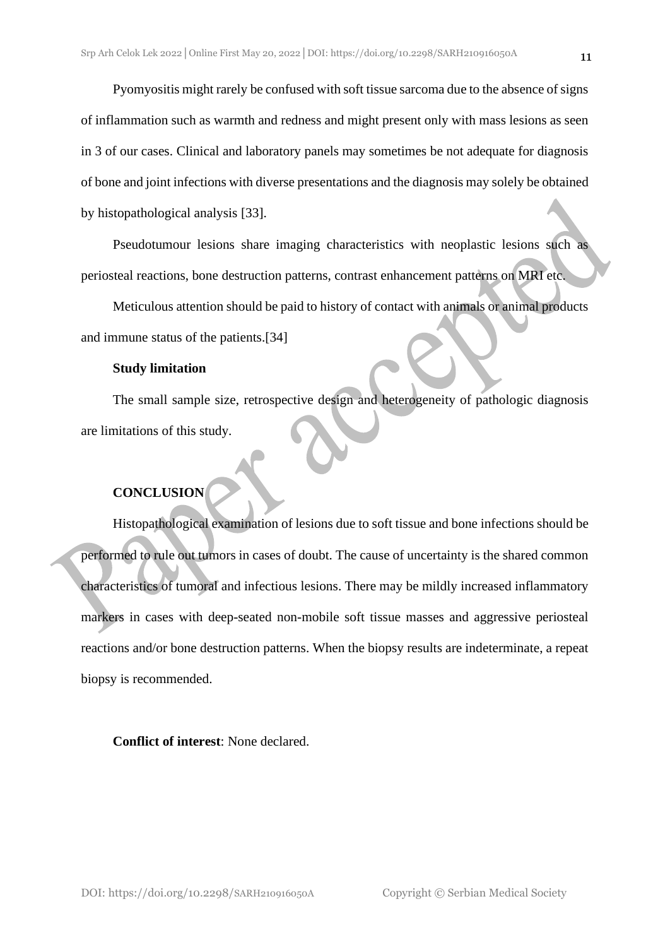Pyomyositis might rarely be confused with soft tissue sarcoma due to the absence of signs of inflammation such as warmth and redness and might present only with mass lesions as seen in 3 of our cases. Clinical and laboratory panels may sometimes be not adequate for diagnosis of bone and joint infections with diverse presentations and the diagnosis may solely be obtained by histopathological analysis [33].

Pseudotumour lesions share imaging characteristics with neoplastic lesions such as periosteal reactions, bone destruction patterns, contrast enhancement patterns on MRI etc.

Meticulous attention should be paid to history of contact with animals or animal products and immune status of the patients.[34]

#### **Study limitation**

The small sample size, retrospective design and heterogeneity of pathologic diagnosis are limitations of this study.

### **CONCLUSION**

Histopathological examination of lesions due to soft tissue and bone infections should be performed to rule out tumors in cases of doubt. The cause of uncertainty is the shared common characteristics of tumoral and infectious lesions. There may be mildly increased inflammatory markers in cases with deep-seated non-mobile soft tissue masses and aggressive periosteal reactions and/or bone destruction patterns. When the biopsy results are indeterminate, a repeat biopsy is recommended.

#### **Conflict of interest**: None declared.

DOI: https://doi.org/10.2298/SARH210916050A Copyright © Serbian Medical Society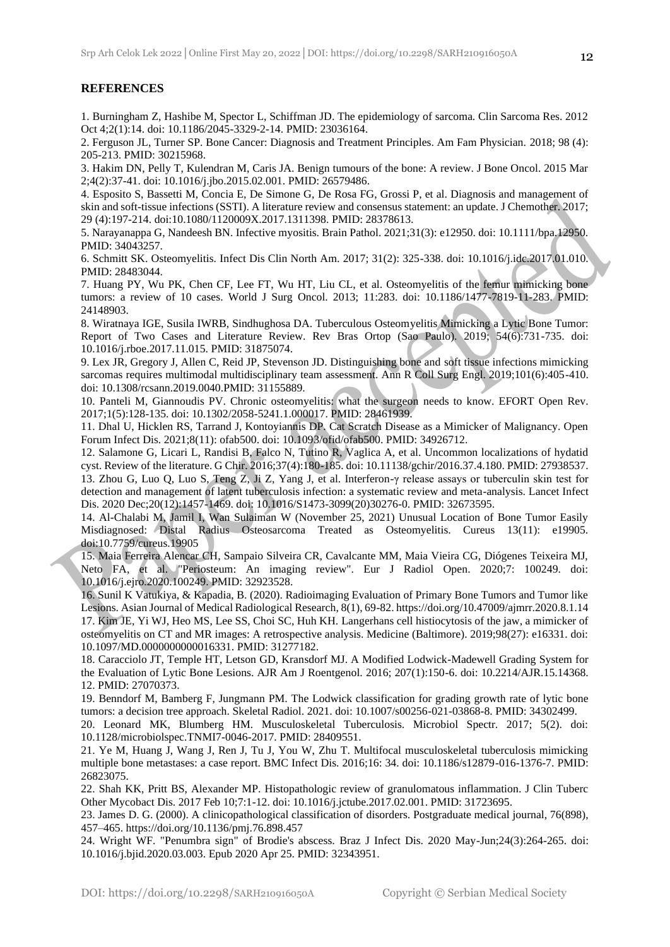#### **REFERENCES**

1. Burningham Z, Hashibe M, Spector L, Schiffman JD. The epidemiology of sarcoma. Clin Sarcoma Res. 2012 Oct 4;2(1):14. doi: 10.1186/2045-3329-2-14. PMID: 23036164.

2. Ferguson JL, Turner SP. Bone Cancer: Diagnosis and Treatment Principles. Am Fam Physician. 2018; 98 (4): 205-213. PMID: 30215968.

3. Hakim DN, Pelly T, Kulendran M, Caris JA. Benign tumours of the bone: A review. J Bone Oncol. 2015 Mar 2;4(2):37-41. doi: 10.1016/j.jbo.2015.02.001. PMID: 26579486.

4. Esposito S, Bassetti M, Concia E, De Simone G, De Rosa FG, Grossi P, et al. Diagnosis and management of skin and soft-tissue infections (SSTI). A literature review and consensus statement: an update. J Chemother. 2017; 29 (4):197-214. doi:10.1080/1120009X.2017.1311398. PMID: 28378613.

5. Narayanappa G, Nandeesh BN. Infective myositis. Brain Pathol. 2021;31(3): e12950. doi: 10.1111/bpa.12950. PMID: 34043257.

6. Schmitt SK. Osteomyelitis. Infect Dis Clin North Am. 2017; 31(2): 325-338. doi: 10.1016/j.idc.2017.01.010. PMID: 28483044.

7. Huang PY, Wu PK, Chen CF, Lee FT, Wu HT, Liu CL, et al. Osteomyelitis of the femur mimicking bone tumors: a review of 10 cases. World J Surg Oncol. 2013; 11:283. doi: 10.1186/1477-7819-11-283. PMID: 24148903.

8. Wiratnaya IGE, Susila IWRB, Sindhughosa DA. Tuberculous Osteomyelitis Mimicking a Lytic Bone Tumor: Report of Two Cases and Literature Review. Rev Bras Ortop (Sao Paulo). 2019; 54(6):731-735. doi: 10.1016/j.rboe.2017.11.015. PMID: 31875074.

9. Lex JR, Gregory J, Allen C, Reid JP, Stevenson JD. Distinguishing bone and soft tissue infections mimicking sarcomas requires multimodal multidisciplinary team assessment. Ann R Coll Surg Engl. 2019;101(6):405-410. doi: 10.1308/rcsann.2019.0040.PMID: 31155889.

10. Panteli M, Giannoudis PV. Chronic osteomyelitis: what the surgeon needs to know. EFORT Open Rev. 2017;1(5):128-135. doi: 10.1302/2058-5241.1.000017. PMID: 28461939.

11. Dhal U, Hicklen RS, Tarrand J, Kontoyiannis DP. Cat Scratch Disease as a Mimicker of Malignancy. Open Forum Infect Dis. 2021;8(11): ofab500. doi: 10.1093/ofid/ofab500. PMID: 34926712.

12. Salamone G, Licari L, Randisi B, Falco N, Tutino R, Vaglica A, et al. Uncommon localizations of hydatid cyst. Review of the literature. G Chir. 2016;37(4):180-185. doi: 10.11138/gchir/2016.37.4.180. PMID: 27938537. 13. Zhou G, Luo Q, Luo S, Teng Z, Ji Z, Yang J, et al. Interferon-γ release assays or tuberculin skin test for detection and management of latent tuberculosis infection: a systematic review and meta-analysis. Lancet Infect Dis. 2020 Dec;20(12):1457-1469. doi: 10.1016/S1473-3099(20)30276-0. PMID: 32673595.

14. Al-Chalabi M, Jamil I, Wan Sulaiman W (November 25, 2021) Unusual Location of Bone Tumor Easily Misdiagnosed: Distal Radius Osteosarcoma Treated as Osteomyelitis. Cureus 13(11): e19905. doi:10.7759/cureus.19905

15. Maia Ferreira Alencar CH, Sampaio Silveira CR, Cavalcante MM, Maia Vieira CG, Diógenes Teixeira MJ, Neto FA, et al. "Periosteum: An imaging review". Eur J Radiol Open. 2020;7: 100249. doi: 10.1016/j.ejro.2020.100249. PMID: 32923528.

16. Sunil K Vatukiya, & Kapadia, B. (2020). Radioimaging Evaluation of Primary Bone Tumors and Tumor like Lesions. Asian Journal of Medical Radiological Research, 8(1), 69-82. https://doi.org/10.47009/ajmrr.2020.8.1.14 17. Kim JE, Yi WJ, Heo MS, Lee SS, Choi SC, Huh KH. Langerhans cell histiocytosis of the jaw, a mimicker of osteomyelitis on CT and MR images: A retrospective analysis. Medicine (Baltimore). 2019;98(27): e16331. doi: 10.1097/MD.0000000000016331. PMID: 31277182.

18. Caracciolo JT, Temple HT, Letson GD, Kransdorf MJ. A Modified Lodwick-Madewell Grading System for the Evaluation of Lytic Bone Lesions. AJR Am J Roentgenol. 2016; 207(1):150-6. doi: 10.2214/AJR.15.14368. 12. PMID: 27070373.

19. Benndorf M, Bamberg F, Jungmann PM. The Lodwick classification for grading growth rate of lytic bone tumors: a decision tree approach. Skeletal Radiol. 2021. doi: 10.1007/s00256-021-03868-8. PMID: 34302499.

20. Leonard MK, Blumberg HM. Musculoskeletal Tuberculosis. Microbiol Spectr. 2017; 5(2). doi: 10.1128/microbiolspec.TNMI7-0046-2017. PMID: 28409551.

21. Ye M, Huang J, Wang J, Ren J, Tu J, You W, Zhu T. Multifocal musculoskeletal tuberculosis mimicking multiple bone metastases: a case report. BMC Infect Dis. 2016;16: 34. doi: 10.1186/s12879-016-1376-7. PMID: 26823075.

22. Shah KK, Pritt BS, Alexander MP. Histopathologic review of granulomatous inflammation. J Clin Tuberc Other Mycobact Dis. 2017 Feb 10;7:1-12. doi: 10.1016/j.jctube.2017.02.001. PMID: 31723695.

23. James D. G. (2000). A clinicopathological classification of disorders. Postgraduate medical journal, 76(898), 457–465. https://doi.org/10.1136/pmj.76.898.457

24. Wright WF. "Penumbra sign" of Brodie's abscess. Braz J Infect Dis. 2020 May-Jun;24(3):264-265. doi: 10.1016/j.bjid.2020.03.003. Epub 2020 Apr 25. PMID: 32343951.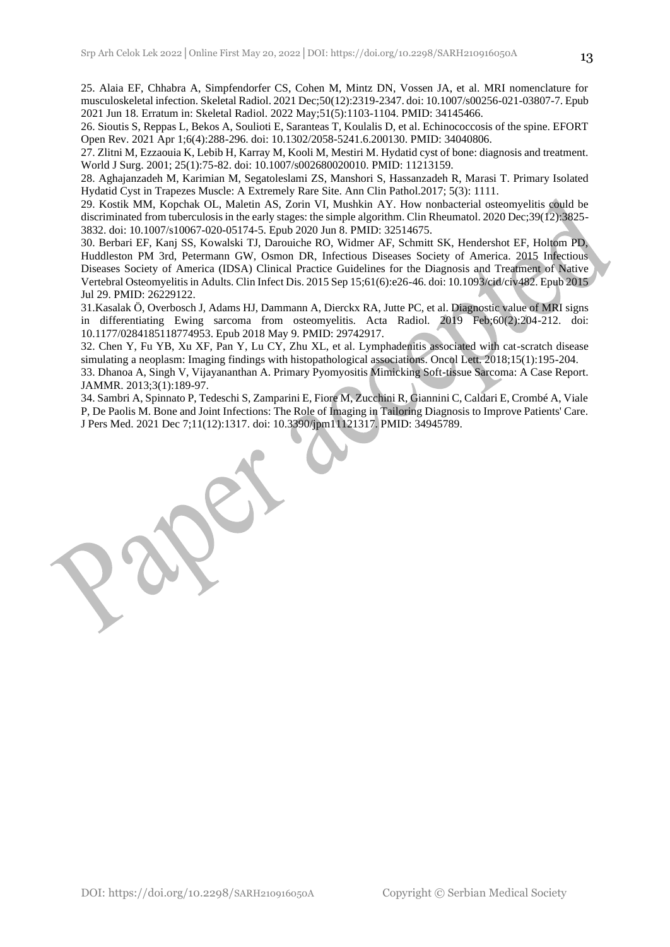25. Alaia EF, Chhabra A, Simpfendorfer CS, Cohen M, Mintz DN, Vossen JA, et al. MRI nomenclature for musculoskeletal infection. Skeletal Radiol. 2021 Dec;50(12):2319-2347. doi: 10.1007/s00256-021-03807-7. Epub 2021 Jun 18. Erratum in: Skeletal Radiol. 2022 May;51(5):1103-1104. PMID: 34145466.

26. Sioutis S, Reppas L, Bekos A, Soulioti E, Saranteas T, Koulalis D, et al. Echinococcosis of the spine. EFORT Open Rev. 2021 Apr 1;6(4):288-296. doi: 10.1302/2058-5241.6.200130. PMID: 34040806.

27. Zlitni M, Ezzaouia K, Lebib H, Karray M, Kooli M, Mestiri M. Hydatid cyst of bone: diagnosis and treatment. World J Surg. 2001; 25(1):75-82. doi: 10.1007/s002680020010. PMID: 11213159.

28. Aghajanzadeh M, Karimian M, Segatoleslami ZS, Manshori S, Hassanzadeh R, Marasi T. Primary Isolated Hydatid Cyst in Trapezes Muscle: A Extremely Rare Site. Ann Clin Pathol.2017; 5(3): 1111.

29. Kostik MM, Kopchak OL, Maletin AS, Zorin VI, Mushkin AY. How nonbacterial osteomyelitis could be discriminated from tuberculosis in the early stages: the simple algorithm. Clin Rheumatol. 2020 Dec;39(12):3825- 3832. doi: 10.1007/s10067-020-05174-5. Epub 2020 Jun 8. PMID: 32514675.

30. Berbari EF, Kanj SS, Kowalski TJ, Darouiche RO, Widmer AF, Schmitt SK, Hendershot EF, Holtom PD, Huddleston PM 3rd, Petermann GW, Osmon DR, Infectious Diseases Society of America. 2015 Infectious Diseases Society of America (IDSA) Clinical Practice Guidelines for the Diagnosis and Treatment of Native Vertebral Osteomyelitis in Adults. Clin Infect Dis. 2015 Sep 15;61(6):e26-46. doi: 10.1093/cid/civ482. Epub 2015 Jul 29. PMID: 26229122.

31.Kasalak Ö, Overbosch J, Adams HJ, Dammann A, Dierckx RA, Jutte PC, et al. Diagnostic value of MRI signs in differentiating Ewing sarcoma from osteomyelitis. Acta Radiol. 2019 Feb;60(2):204-212. doi: 10.1177/0284185118774953. Epub 2018 May 9. PMID: 29742917.

32. Chen Y, Fu YB, Xu XF, Pan Y, Lu CY, Zhu XL, et al. Lymphadenitis associated with cat-scratch disease simulating a neoplasm: Imaging findings with histopathological associations. Oncol Lett. 2018;15(1):195-204. 33. Dhanoa A, Singh V, Vijayananthan A. Primary Pyomyositis Mimicking Soft-tissue Sarcoma: A Case Report. JAMMR. 2013;3(1):189-97.

34. Sambri A, Spinnato P, Tedeschi S, Zamparini E, Fiore M, Zucchini R, Giannini C, Caldari E, Crombé A, Viale P, De Paolis M. Bone and Joint Infections: The Role of Imaging in Tailoring Diagnosis to Improve Patients' Care. J Pers Med. 2021 Dec 7;11(12):1317. doi: 10.3390/jpm11121317. PMID: 34945789.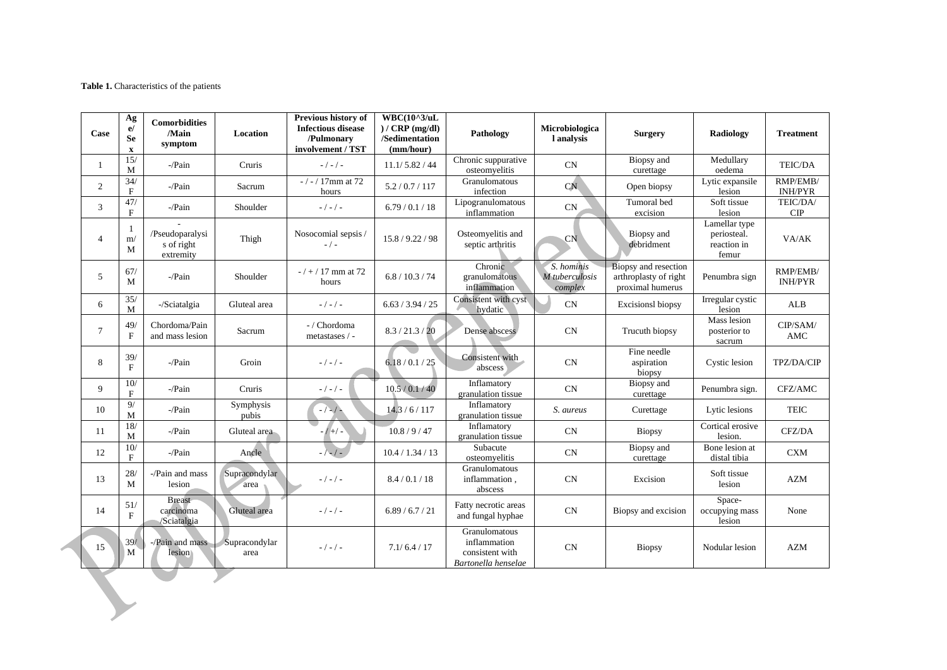#### **Table 1.** Characteristics of the patients

| Case           | Ag<br>e/<br><b>Se</b><br>$\mathbf X$ | <b>Comorbidities</b><br>/Main<br>symptom   | Location              | Previous history of<br><b>Infectious disease</b><br>/Pulmonary<br>involvement / TST | $WBC(10^{\wedge}3/\text{uL})$<br>$)/$ CRP (mg/dl)<br>/Sedimentation<br>(mm/hour) | Pathology                                                               | Microbiologica<br>l analysis            | <b>Surgery</b>                                                    | Radiology                                            | <b>Treatment</b>           |
|----------------|--------------------------------------|--------------------------------------------|-----------------------|-------------------------------------------------------------------------------------|----------------------------------------------------------------------------------|-------------------------------------------------------------------------|-----------------------------------------|-------------------------------------------------------------------|------------------------------------------------------|----------------------------|
| $\mathbf{1}$   | 15/<br>M                             | -/Pain                                     | Cruris                | $-/-/-$                                                                             | 11.1/5.82/44                                                                     | Chronic suppurative<br>osteomyelitis                                    | CN                                      | Biopsy and<br>curettage                                           | Medullary<br>oedema                                  | TEIC/DA                    |
| 2              | 34/<br>$\mathbf{F}$                  | -/Pain                                     | Sacrum                | $-$ / $-$ / 17mm at 72<br>hours                                                     | 5.2 / 0.7 / 117                                                                  | Granulomatous<br>infection                                              | CN                                      | Open biopsy                                                       | Lytic expansile<br>lesion                            | RMP/EMB/<br><b>INH/PYR</b> |
| 3              | 47/<br>F                             | $-Pain$                                    | Shoulder              | $-/-/-$                                                                             | 6.79/0.1/18                                                                      | Lipogranulomatous<br>inflammation                                       | CN                                      | Tumoral bed<br>excision                                           | Soft tissue<br>lesion                                | TEIC/DA/<br>CIP            |
| $\overline{4}$ | 1<br>m/<br>M                         | /Pseudoparalysi<br>s of right<br>extremity | Thigh                 | Nosocomial sepsis /<br>$-$ / $-$                                                    | 15.8 / 9.22 / 98                                                                 | Osteomyelitis and<br>septic arthritis                                   | CN                                      | Biopsy and<br>debridment                                          | Lamellar type<br>periosteal.<br>reaction in<br>femur | VA/AK                      |
| 5              | 67/<br>M                             | -/Pain                                     | Shoulder              | $-7 + 17$ mm at 72<br>hours                                                         | 6.8 / 10.3 / 74                                                                  | Chronic<br>granulomatous<br>inflammation                                | S. hominis<br>M tuberculosis<br>complex | Biopsy and resection<br>arthroplasty of right<br>proximal humerus | Penumbra sign                                        | RMP/EMB/<br><b>INH/PYR</b> |
| 6              | 35/<br>M                             | -/Sciatalgia                               | Gluteal area          | $-/-/-$                                                                             | 6.63 / 3.94 / 25                                                                 | Consistent with cyst<br>hydatic                                         | CN                                      | <b>Excisionsl biopsy</b>                                          | Irregular cystic<br>lesion                           | <b>ALB</b>                 |
| $\tau$         | 49/<br>$\mathbf F$                   | Chordoma/Pain<br>and mass lesion           | Sacrum                | - / Chordoma<br>metastases / -                                                      | 8.3 / 21.3 / 20                                                                  | Dense abscess                                                           | CN                                      | Trucuth biopsy                                                    | Mass lesion<br>posterior to<br>sacrum                | CIP/SAM/<br>AMC            |
| 8              | 39/<br>F                             | $-Pain$                                    | Groin                 | $-/-/-$                                                                             | 6.18 / 0.1 / 25                                                                  | Consistent with<br>abscess                                              | CN                                      | Fine needle<br>aspiration<br>biopsy                               | Cystic lesion                                        | TPZ/DA/CIP                 |
| 9              | 10/<br>$\mathbf{F}$                  | -/Pain                                     | Cruris                | $-/-/-$                                                                             | 10.5 / 0.1 / 40                                                                  | Inflamatory<br>granulation tissue                                       | CN                                      | Biopsy and<br>curettage                                           | Penumbra sign.                                       | CFZ/AMC                    |
| 10             | 9/<br>M                              | -/Pain                                     | Symphysis<br>pubis    | $-/-/-$                                                                             | 14.3/6/117                                                                       | Inflamatory<br>granulation tissue                                       | S. aureus                               | Curettage                                                         | Lytic lesions                                        | <b>TEIC</b>                |
| 11             | 18/<br>$\mathbf M$                   | $-Pain$                                    | Gluteal area          | $1 + 1 -$                                                                           | 10.8 / 9 / 47                                                                    | Inflamatory<br>granulation tissue                                       | CN                                      | <b>Biopsy</b>                                                     | Cortical erosive<br>lesion.                          | CFZ/DA                     |
| 12             | 10/<br>$\mathbf{F}$                  | $-Pain$                                    | Ancle                 | $-\sqrt{-1}$                                                                        | 10.4 / 1.34 / 13                                                                 | Subacute<br>osteomyelitis                                               | CN                                      | Biopsy and<br>curettage                                           | Bone lesion at<br>distal tibia                       | CXM                        |
| 13             | 28/<br>M                             | -/Pain and mass<br>lesion                  | Supracondylar<br>area | $-/-/ -$                                                                            | 8.4/0.1/18                                                                       | Granulomatous<br>inflammation,<br>abscess                               | CN                                      | Excision                                                          | Soft tissue<br>lesion                                | <b>AZM</b>                 |
| 14             | 51/<br>$\mathbf{F}$                  | <b>Breast</b><br>carcinoma<br>/Sciatalgia  | Gluteal area          | $-/-/ -$                                                                            | 6.89/6.7/21                                                                      | Fatty necrotic areas<br>and fungal hyphae                               | CN                                      | Biopsy and excision                                               | Space-<br>occupying mass<br>lesion                   | None                       |
| 15             | 39/<br>M                             | -/Pain and mass<br>lesion                  | Supracondylar<br>area | $-/-/ -$                                                                            | 7.1/6.4/17                                                                       | Granulomatous<br>inflammation<br>consistent with<br>Bartonella henselae | CN                                      | <b>Biopsy</b>                                                     | Nodular lesion                                       | <b>AZM</b>                 |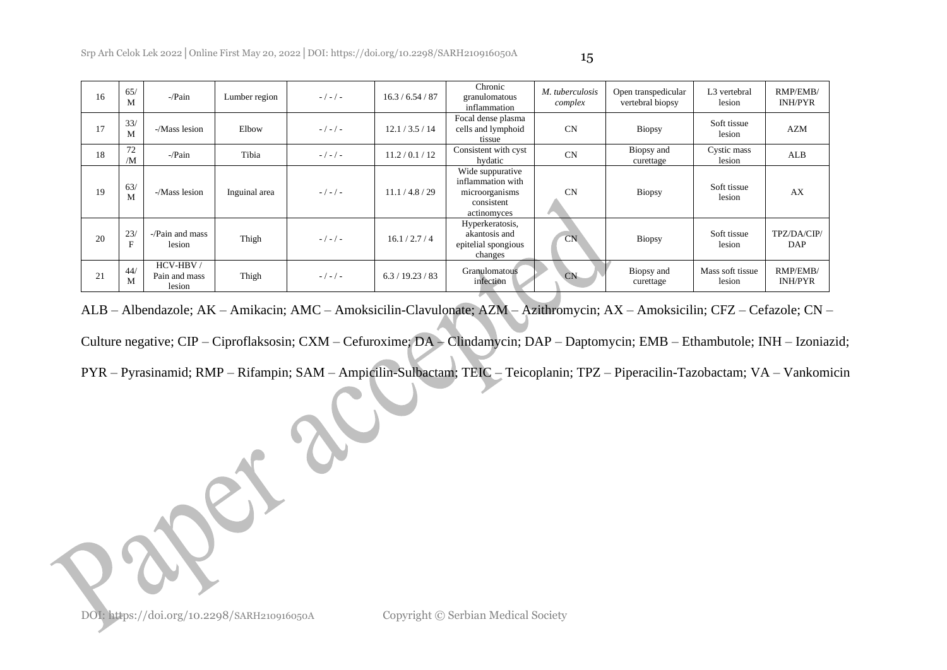| 16 | 65/<br>M | $-Pain$                             | Lumber region | $-/-/-$ | 16.3 / 6.54 / 87 | Chronic<br>granulomatous<br>inflammation                                             | M. tuberculosis<br>complex | Open transpedicular<br>vertebral biopsy | L3 vertebral<br>lesion     | RMP/EMB/<br><b>INH/PYR</b> |
|----|----------|-------------------------------------|---------------|---------|------------------|--------------------------------------------------------------------------------------|----------------------------|-----------------------------------------|----------------------------|----------------------------|
| 17 | 33/<br>M | $-M$ ass lesion                     | Elbow         | $-/-/-$ | 12.1 / 3.5 / 14  | Focal dense plasma<br>cells and lymphoid<br>tissue                                   | <b>CN</b>                  | <b>Biopsy</b>                           | Soft tissue<br>lesion      | AZM                        |
| 18 | 72<br>/M | $-Pain$                             | Tibia         | $-/-/-$ | 11.2 / 0.1 / 12  | Consistent with cyst<br>hydatic                                                      | <b>CN</b>                  | Biopsy and<br>curettage                 | Cystic mass<br>lesion      | ALB                        |
| 19 | 63/<br>M | $-M$ ass lesion                     | Inguinal area | $-/-/-$ | 11.1 / 4.8 / 29  | Wide suppurative<br>inflammation with<br>microorganisms<br>consistent<br>actinomyces | <b>CN</b>                  | <b>Biopsy</b>                           | Soft tissue<br>lesion      | AX                         |
| 20 | 23/<br>F | $-\gamma$ -/Pain and mass<br>lesion | Thigh         | $-/-/-$ | 16.1 / 2.7 / 4   | Hyperkeratosis,<br>akantosis and<br>epitelial spongious<br>changes                   | CN                         | <b>Biopsy</b>                           | Soft tissue<br>lesion      | TPZ/DA/CIP/<br><b>DAP</b>  |
| 21 | 44/<br>M | HCV-HBV/<br>Pain and mass<br>lesion | Thigh         | $-/-/-$ | 6.3 / 19.23 / 83 | Granulomatous<br>infection                                                           | <b>CN</b>                  | Biopsy and<br>curettage                 | Mass soft tissue<br>lesion | RMP/EMB/<br><b>INH/PYR</b> |

ALB – Albendazole; AK – Amikacin; AMC – Amoksicilin-Clavulonate; AZM – Azithromycin; AX – Amoksicilin; CFZ – Cefazole; CN –

Culture negative; CIP – Ciproflaksosin; CXM – Cefuroxime; DA – Clindamycin; DAP – Daptomycin; EMB – Ethambutole; INH – Izoniazid;

PYR – Pyrasinamid; RMP – Rifampin; SAM – Ampicilin-Sulbactam; TEIC – Teicoplanin; TPZ – Piperacilin-Tazobactam; VA – Vankomicin

DOI: https://doi.org/10.2298/SARH210916050A Copyright © Serbian Medical Society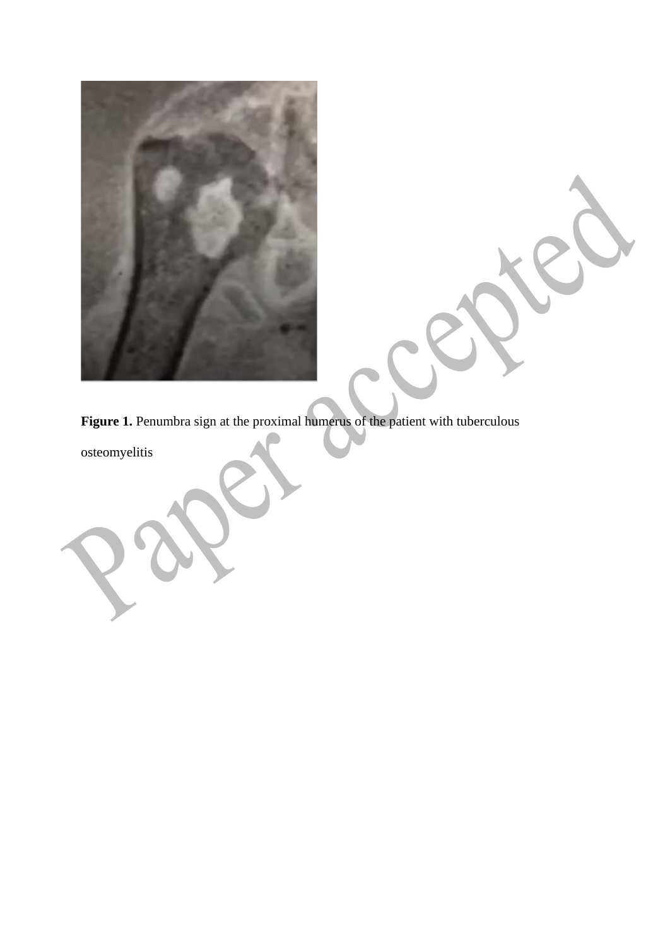

Figure 1. Penumbra sign at the proximal humerus of the patient with tuberculous

osteomyelitis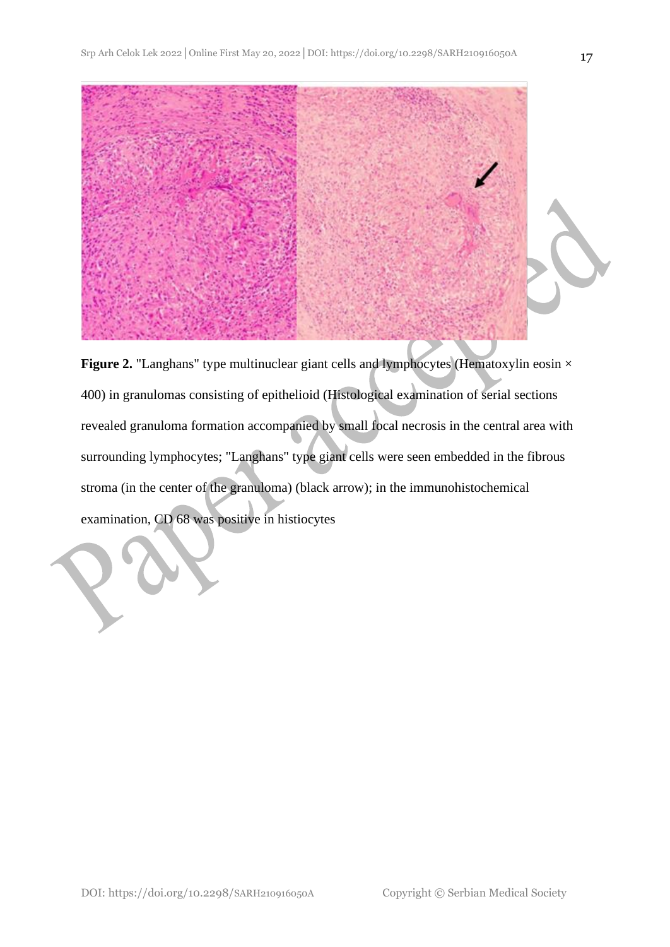

**Figure 2.** "Langhans" type multinuclear giant cells and lymphocytes (Hematoxylin eosin  $\times$ 400) in granulomas consisting of epithelioid (Histological examination of serial sections revealed granuloma formation accompanied by small focal necrosis in the central area with surrounding lymphocytes; "Langhans" type giant cells were seen embedded in the fibrous stroma (in the center of the granuloma) (black arrow); in the immunohistochemical examination, CD 68 was positive in histiocytes